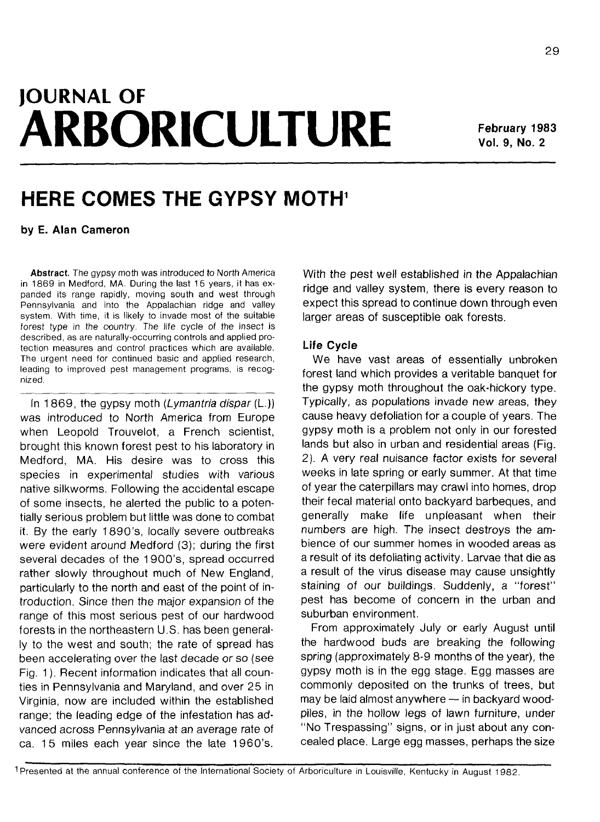# **JOURNAL OF ARBORICULTURE February 1983**

**Vol. 9, No. 2**

# **HERE COMES THE GYPSY MOTH<sup>1</sup>**

**by E. Alan Cameron**

**Abstract.** The gypsy moth was introduced to North America in 1869 in Medford, MA. During the last 15 years, it has expanded its range rapidly, moving south and west through Pennsylvania and into the Appalachian ridge and valley system. With time, it is likely to invade most of the suitable forest type in the country. The life cycle of the insect is described, as are naturally-occurring controls and applied protection measures and control practices which are available. The urgent need for continued basic and applied research, leading to improved pest management programs, is recognized.

In 1869, the gypsy moth (Lymantria dispar  $(L)$ ) was introduced to North America from Europe when Leopold Trouvelot, a French scientist, brought this known forest pest to his laboratory in Medford, MA. His desire was to cross this species in experimental studies with various native silkworms. Following the accidental escape of some insects, he alerted the public to a potentially serious problem but little was done to combat it. By the early 1890's, locally severe outbreaks were evident around Medford (3); during the first several decades of the 1900's, spread occurred rather slowly throughout much of New England, particularly to the north and east of the point of introduction. Since then the major expansion of the range of this most serious pest of our hardwood forests in the northeastern U.S. has been generally to the west and south; the rate of spread has been accelerating over the last decade or so (see Fig. 1). Recent information indicates that all counties in Pennsylvania and Maryland, and over 25 in Virginia, now are included within the established range; the leading edge of the infestation has advanced across Pennsylvania at an average rate of ca. 15 miles each year since the late 1960's.

With the pest well established in the Appalachian ridge and valley system, there is every reason to expect this spread to continue down through even larger areas of susceptible oak forests.

#### **Life Cycle**

We have vast areas of essentially unbroken forest land which provides a veritable banquet for the gypsy moth throughout the oak-hickory type. Typically, as populations invade new areas, they cause heavy defoliation for a couple of years. The gypsy moth is a problem not only in our forested lands but also in urban and residential areas (Fig. 2). A very real nuisance factor exists for several weeks in late spring or early summer. At that time of year the caterpillars may crawl into homes, drop their fecal material onto backyard barbeques, and generally make life unpleasant when their numbers are high. The insect destroys the ambience of our summer homes in wooded areas as a result of its defoliating activity. Larvae that die as a result of the virus disease may cause unsightly staining of our buildings. Suddenly, a "forest" pest has become of concern in the urban and suburban environment.

From approximately July or early August until the hardwood buds are breaking the following spring (approximately 8-9 months of the year), the gypsy moth is in the egg stage. Egg masses are commonly deposited on the trunks of trees, but may be laid almost anywhere — in backyard woodpiles, in the hollow legs of lawn furniture, under "No Trespassing" signs, or in just about any concealed place. Large egg masses, perhaps the size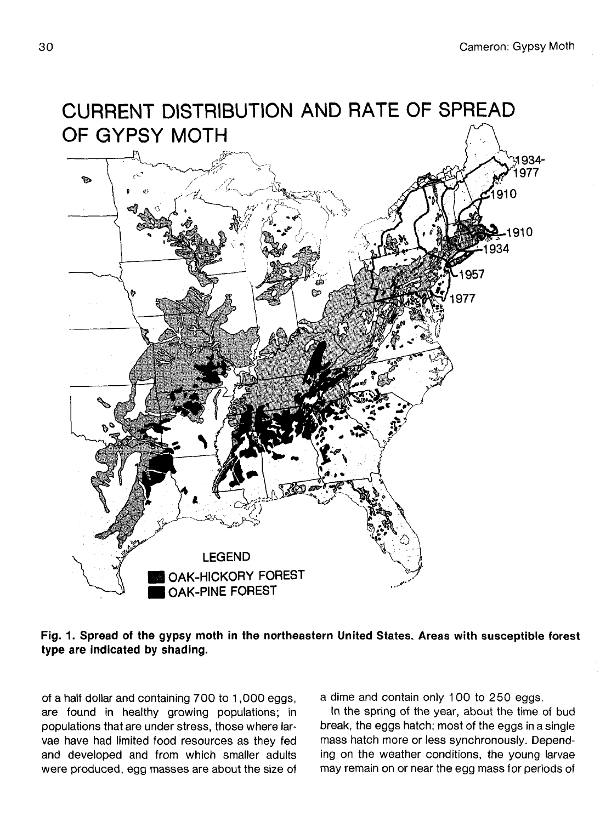

# **Fig. 1. Spread of the gypsy moth in the northeastern United States. Areas with susceptible forest type are indicated by shading.**

of a half dollar and containing 700 to 1,000 eggs, are found in healthy growing populations; in populations that are under stress, those where larvae have had limited food resources as they fed and developed and from which smaller adults were produced, egg masses are about the size of a dime and contain only 100 to 250 eggs.

In the spring of the year, about the time of bud break, the eggs hatch; most of the eggs in a single mass hatch more or less synchronously. Depending on the weather conditions, the young larvae may remain on or near the egg mass for periods of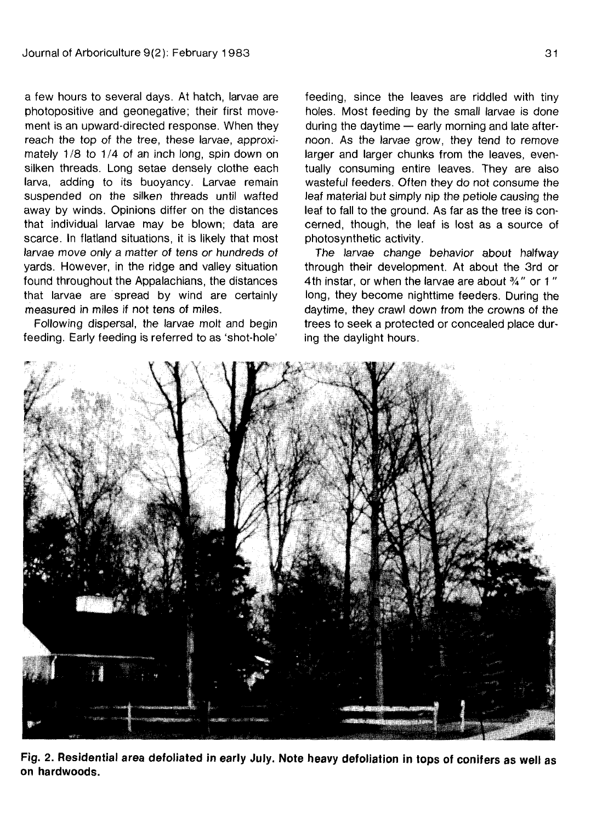a few hours to several days. At hatch, larvae are photopositive and geonegative; their first movement is an upward-directed response. When they reach the top of the tree, these larvae, approximately 1/8 to 1/4 of an inch long, spin down on silken threads. Long setae densely clothe each larva, adding to its buoyancy. Larvae remain suspended on the silken threads until wafted away by winds. Opinions differ on the distances that individual larvae may be blown; data are scarce. In flatland situations, it is likely that most larvae move only a matter of tens or hundreds of yards. However, in the ridge and valley situation found throughout the Appalachians, the distances that larvae are spread by wind are certainly measured in miles if not tens of miles.

Following dispersal, the larvae molt and begin feeding. Early feeding is referred to as 'shot-hole' feeding, since the leaves are riddled with tiny holes. Most feeding by the small larvae is done during the daytime — early morning and late afternoon. As the larvae grow, they tend to remove larger and larger chunks from the leaves, eventually consuming entire leaves. They are also wasteful feeders. Often they do not consume the leaf material but simply nip the petiole causing the leaf to fall to the ground. As far as the tree is concerned, though, the leaf is lost as a source of photosynthetic activity.

The larvae change behavior about halfway through their development. At about the 3rd or 4th instar, or when the larvae are about <sup>3</sup>A" or 1 " long, they become nighttime feeders. During the daytime, they crawl down from the crowns of the trees to seek a protected or concealed place during the daylight hours.



**Fig. 2. Residential area defoliated in early July. Note heavy defoliation in tops of conifers as well as on hardwoods.**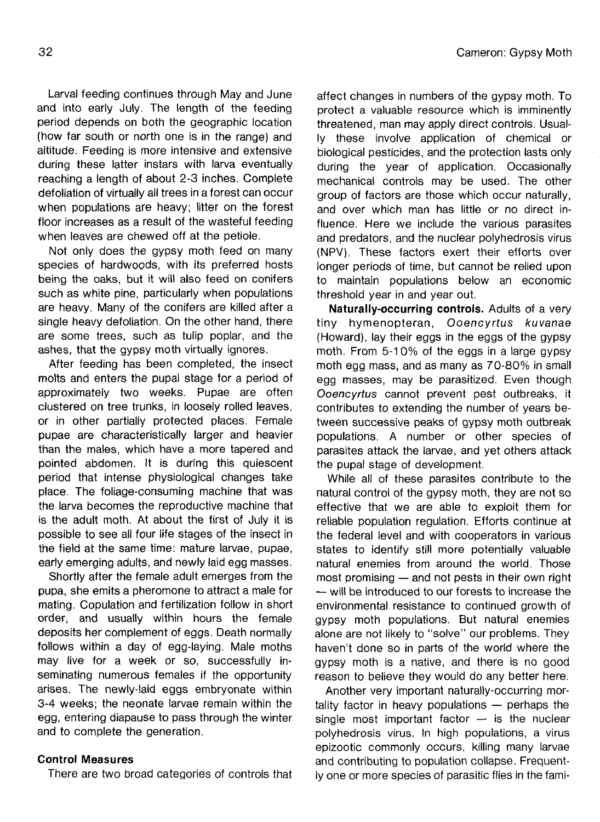Larval feeding continues through May and June and into early July. The length of the feeding period depends on both the geographic location (how far south or north one is in the range) and altitude. Feeding is more intensive and extensive during these latter instars with larva eventually reaching a length of about 2-3 inches. Complete defoliation of virtually all trees in a forest can occur when populations are heavy; litter on the forest floor increases as a result of the wasteful feeding when leaves are chewed off at the petiole.

Not only does the gypsy moth feed on many species of hardwoods, with its preferred hosts being the oaks, but it will also feed on conifers such as white pine, particularly when populations are heavy. Many of the conifers are killed after a single heavy defoliation. On the other hand, there are some trees, such as tulip poplar, and the ashes, that the gypsy moth virtually ignores.

After feeding has been completed, the insect molts and enters the pupal stage for a period of approximately two weeks. Pupae are often clustered on tree trunks, in loosely rolled leaves, or in other partially protected places. Female pupae are characteristically larger and heavier than the males, which have a more tapered and pointed abdomen. It is during this quiescent period that intense physiological changes take place. The foliage-consuming machine that was the larva becomes the reproductive machine that is the adult moth. At about the first of July it is possible to see all four life stages of the insect in the field at the same time: mature larvae, pupae, early emerging adults, and newly laid egg masses.

Shortly after the female adult emerges from the pupa, she emits a pheromone to attract a male for mating. Copulation and fertilization follow in short order, and usually within hours the female deposits her complement of eggs. Death normally follows within a day of egg-laying. Male moths may live for a week or so, successfully inseminating numerous females if the opportunity arises. The newly-laid eggs embryonate within 3-4 weeks; the neonate larvae remain within the egg, entering diapause to pass through the winter and to complete the generation.

# **Control Measures**

There are two broad categories of controls that

affect changes in numbers of the gypsy moth. To protect a valuable resource which is imminently threatened, man may apply direct controls. Usually these involve application of chemical or biological pesticides, and the protection lasts only during the year of application. Occasionally mechanical controls may be used. The other group of factors are those which occur naturally, and over which man has little or no direct influence. Here we include the various parasites and predators, and the nuclear polyhedrosis virus (NPV). These factors exert their efforts over longer periods of time, but cannot be relied upon to maintain populations below an economic threshold year in and year out.

**Naturally-occurring controls.** Adults of a very tiny hymenopteran, Ooencyrtus kuvanae (Howard), lay their eggs in the eggs of the gypsy moth. From 5-10% of the eggs in a large gypsy moth egg mass, and as many as 70-80% in small egg masses, may be parasitized. Even though Ooencyrtus cannot prevent pest outbreaks, it contributes to extending the number of years between successive peaks of gypsy moth outbreak populations. A number or other species of parasites attack the larvae, and yet others attack the pupal stage of development.

While all of these parasites contribute to the natural control of the gypsy moth, they are not so effective that we are able to exploit them for reliable population regulation. Efforts continue at the federal level and with cooperators in various states to identify still more potentially valuable natural enemies from around the world. Those most promising — and not pests in their own right — will be introduced to our forests to increase the environmental resistance to continued growth of gypsy moth populations. But natural enemies alone are not likely to "solve" our problems. They haven't done so in parts of the world where the gypsy moth is a native, and there is no good reason to believe they would do any better here.

Another very important naturally-occurring mortality factor in heavy populations — perhaps the single most important factor  $-$  is the nuclear polyhedrosis virus. In high populations, a virus epizootic commonly occurs, killing many larvae and contributing to population collapse. Frequently one or more species of parasitic flies in the fami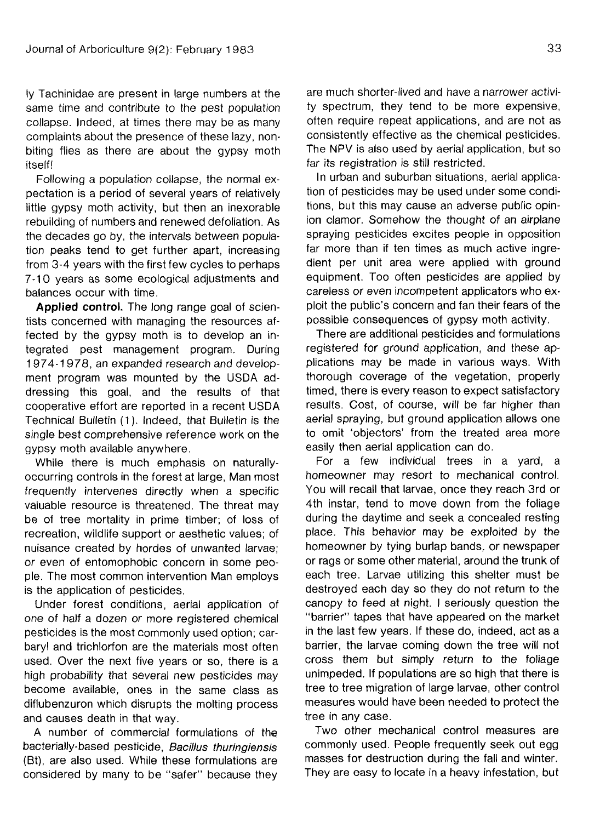ly Tachinidae are present in large numbers at the same time and contribute to the pest population collapse. Indeed, at times there may be as many complaints about the presence of these lazy, nonbiting flies as there are about the gypsy moth itself!

Following a population collapse, the normal expectation is a period of several years of relatively little gypsy moth activity, but then an inexorable rebuilding of numbers and renewed defoliation. As the decades go by, the intervals between population peaks tend to get further apart, increasing from 3-4 years with the first few cycles to perhaps 7-10 years as some ecological adjustments and balances occur with time.

**Applied control.** The long range goal of scientists concerned with managing the resources affected by the gypsy moth is to develop an integrated pest management program. During 1974-1978, an expanded research and development program was mounted by the USDA addressing this goal, and the results of that cooperative effort are reported in a recent USDA Technical Bulletin (1). Indeed, that Bulletin is the single best comprehensive reference work on the gypsy moth available anywhere.

While there is much emphasis on naturallyoccurring controls in the forest at large, Man most frequently intervenes directly when a specific valuable resource is threatened. The threat may be of tree mortality in prime timber; of loss of recreation, wildlife support or aesthetic values; of nuisance created by hordes of unwanted larvae; or even of entomophobic concern in some people. The most common intervention Man employs is the application of pesticides.

Under forest conditions, aerial application of one of half a dozen or more registered chemical pesticides is the most commonly used option; carbaryl and trichlorfon are the materials most often used. Over the next five years or so, there is a high probability that several new pesticides may become available, ones in the same class as diflubenzuron which disrupts the molting process and causes death in that way.

A number of commercial formulations of the bacterially-based pesticide, Bacillus thuringiensis (Bt), are also used. While these formulations are considered by many to be "safer" because they are much shorter-lived and have a narrower activity spectrum, they tend to be more expensive, often require repeat applications, and are not as consistently effective as the chemical pesticides. The NPV is also used by aerial application, but so far its registration is still restricted.

In urban and suburban situations, aerial application of pesticides may be used under some conditions, but this may cause an adverse public opinion clamor. Somehow the thought of an airplane spraying pesticides excites people in opposition far more than if ten times as much active ingredient per unit area were applied with ground equipment. Too often pesticides are applied by careless or even incompetent applicators who exploit the public's concern and fan their fears of the possible consequences of gypsy moth activity.

There are additional pesticides and formulations registered for ground application, and these applications may be made in various ways. With thorough coverage of the vegetation, properly timed, there is every reason to expect satisfactory results. Cost, of course, will be far higher than aerial spraying, but ground application allows one to omit 'objectors' from the treated area more easily then aerial application can do.

For a few individual trees in a yard, a homeowner may resort to mechanical control. You will recall that larvae, once they reach 3rd or 4th instar, tend to move down from the foliage during the daytime and seek a concealed resting place. This behavior may be exploited by the homeowner by tying burlap bands, or newspaper or rags or some other material, around the trunk of each tree. Larvae utilizing this shelter must be destroyed each day so they do not return to the canopy to feed at night. I seriously question the "barrier" tapes that have appeared on the market in the last few years. If these do, indeed, act as a barrier, the larvae coming down the tree will not cross them but simply return to the foliage unimpeded. If populations are so high that there is tree to tree migration of large larvae, other control measures would have been needed to protect the tree in any case.

Two other mechanical control measures are commonly used. People frequently seek out egg masses for destruction during the fall and winter. They are easy to locate in a heavy infestation, but